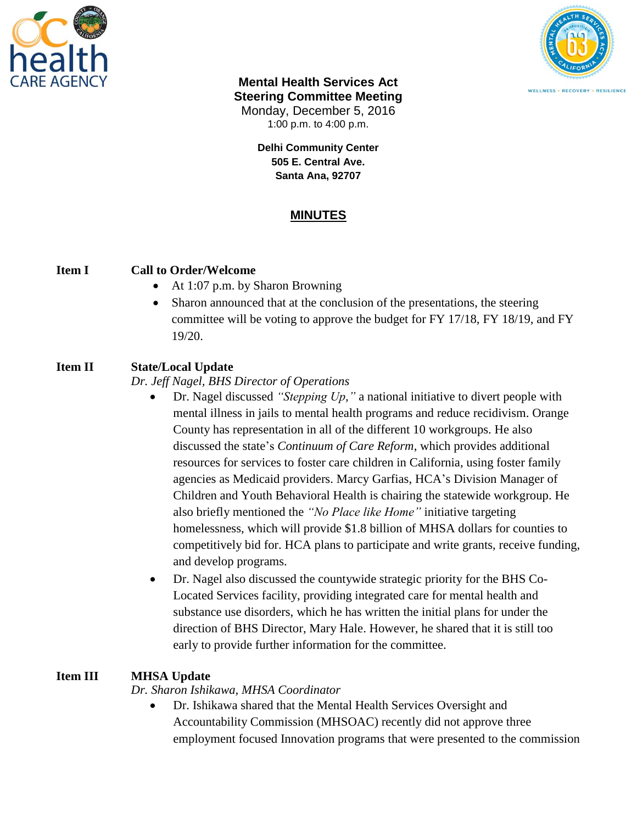



### **Mental Health Services Act Steering Committee Meeting** Monday, December 5, 2016 1:00 p.m. to 4:00 p.m.

**Delhi Community Center 505 E. Central Ave. Santa Ana, 92707**

# **MINUTES**

### **Item I Call to Order/Welcome**

- At 1:07 p.m. by Sharon Browning
- Sharon announced that at the conclusion of the presentations, the steering committee will be voting to approve the budget for FY 17/18, FY 18/19, and FY 19/20.

## **Item II State/Local Update**

### *Dr. Jeff Nagel, BHS Director of Operations*

- Dr. Nagel discussed *"Stepping Up,"* a national initiative to divert people with mental illness in jails to mental health programs and reduce recidivism. Orange County has representation in all of the different 10 workgroups. He also discussed the state's *Continuum of Care Reform*, which provides additional resources for services to foster care children in California, using foster family agencies as Medicaid providers. Marcy Garfias, HCA's Division Manager of Children and Youth Behavioral Health is chairing the statewide workgroup. He also briefly mentioned the *"No Place like Home"* initiative targeting homelessness, which will provide \$1.8 billion of MHSA dollars for counties to competitively bid for. HCA plans to participate and write grants, receive funding, and develop programs.
- Dr. Nagel also discussed the countywide strategic priority for the BHS Co-Located Services facility, providing integrated care for mental health and substance use disorders, which he has written the initial plans for under the direction of BHS Director, Mary Hale. However, he shared that it is still too early to provide further information for the committee.

## **Item III MHSA Update**

*Dr. Sharon Ishikawa, MHSA Coordinator*

 Dr. Ishikawa shared that the Mental Health Services Oversight and Accountability Commission (MHSOAC) recently did not approve three employment focused Innovation programs that were presented to the commission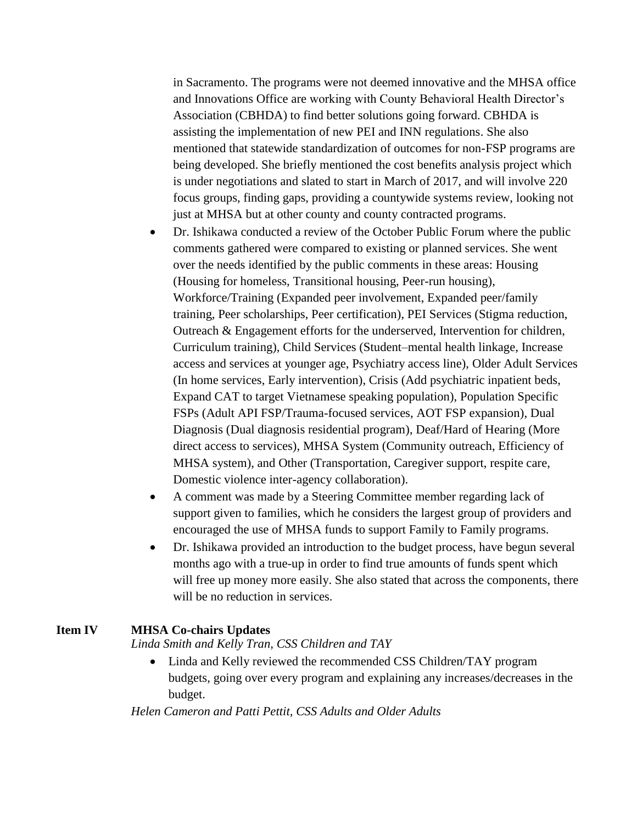in Sacramento. The programs were not deemed innovative and the MHSA office and Innovations Office are working with County Behavioral Health Director's Association (CBHDA) to find better solutions going forward. CBHDA is assisting the implementation of new PEI and INN regulations. She also mentioned that statewide standardization of outcomes for non-FSP programs are being developed. She briefly mentioned the cost benefits analysis project which is under negotiations and slated to start in March of 2017, and will involve 220 focus groups, finding gaps, providing a countywide systems review, looking not just at MHSA but at other county and county contracted programs.

- Dr. Ishikawa conducted a review of the October Public Forum where the public comments gathered were compared to existing or planned services. She went over the needs identified by the public comments in these areas: Housing (Housing for homeless, Transitional housing, Peer-run housing), Workforce/Training (Expanded peer involvement, Expanded peer/family training, Peer scholarships, Peer certification), PEI Services (Stigma reduction, Outreach & Engagement efforts for the underserved, Intervention for children, Curriculum training), Child Services (Student–mental health linkage, Increase access and services at younger age, Psychiatry access line), Older Adult Services (In home services, Early intervention), Crisis (Add psychiatric inpatient beds, Expand CAT to target Vietnamese speaking population), Population Specific FSPs (Adult API FSP/Trauma-focused services, AOT FSP expansion), Dual Diagnosis (Dual diagnosis residential program), Deaf/Hard of Hearing (More direct access to services), MHSA System (Community outreach, Efficiency of MHSA system), and Other (Transportation, Caregiver support, respite care, Domestic violence inter-agency collaboration).
- A comment was made by a Steering Committee member regarding lack of support given to families, which he considers the largest group of providers and encouraged the use of MHSA funds to support Family to Family programs.
- Dr. Ishikawa provided an introduction to the budget process, have begun several months ago with a true-up in order to find true amounts of funds spent which will free up money more easily. She also stated that across the components, there will be no reduction in services.

#### **Item IV MHSA Co-chairs Updates**

*Linda Smith and Kelly Tran, CSS Children and TAY*

• Linda and Kelly reviewed the recommended CSS Children/TAY program budgets, going over every program and explaining any increases/decreases in the budget.

*Helen Cameron and Patti Pettit, CSS Adults and Older Adults*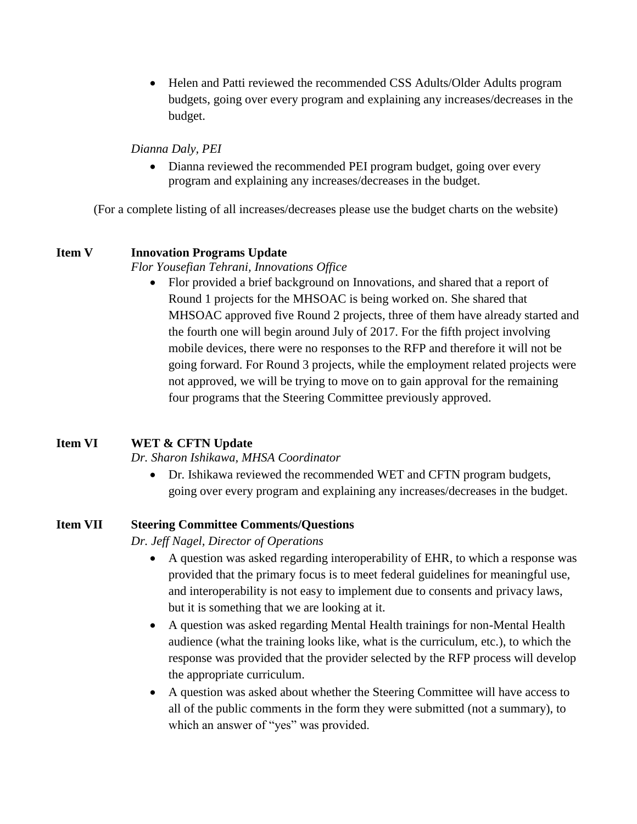• Helen and Patti reviewed the recommended CSS Adults/Older Adults program budgets, going over every program and explaining any increases/decreases in the budget.

#### *Dianna Daly, PEI*

• Dianna reviewed the recommended PEI program budget, going over every program and explaining any increases/decreases in the budget.

(For a complete listing of all increases/decreases please use the budget charts on the website)

### **Item V Innovation Programs Update**

#### *Flor Yousefian Tehrani, Innovations Office*

• Flor provided a brief background on Innovations, and shared that a report of Round 1 projects for the MHSOAC is being worked on. She shared that MHSOAC approved five Round 2 projects, three of them have already started and the fourth one will begin around July of 2017. For the fifth project involving mobile devices, there were no responses to the RFP and therefore it will not be going forward. For Round 3 projects, while the employment related projects were not approved, we will be trying to move on to gain approval for the remaining four programs that the Steering Committee previously approved.

### **Item VI WET & CFTN Update**

### *Dr. Sharon Ishikawa, MHSA Coordinator*

 Dr. Ishikawa reviewed the recommended WET and CFTN program budgets, going over every program and explaining any increases/decreases in the budget.

### **Item VII Steering Committee Comments/Questions**

*Dr. Jeff Nagel, Director of Operations*

- A question was asked regarding interoperability of EHR, to which a response was provided that the primary focus is to meet federal guidelines for meaningful use, and interoperability is not easy to implement due to consents and privacy laws, but it is something that we are looking at it.
- A question was asked regarding Mental Health trainings for non-Mental Health audience (what the training looks like, what is the curriculum, etc.), to which the response was provided that the provider selected by the RFP process will develop the appropriate curriculum.
- A question was asked about whether the Steering Committee will have access to all of the public comments in the form they were submitted (not a summary), to which an answer of "yes" was provided.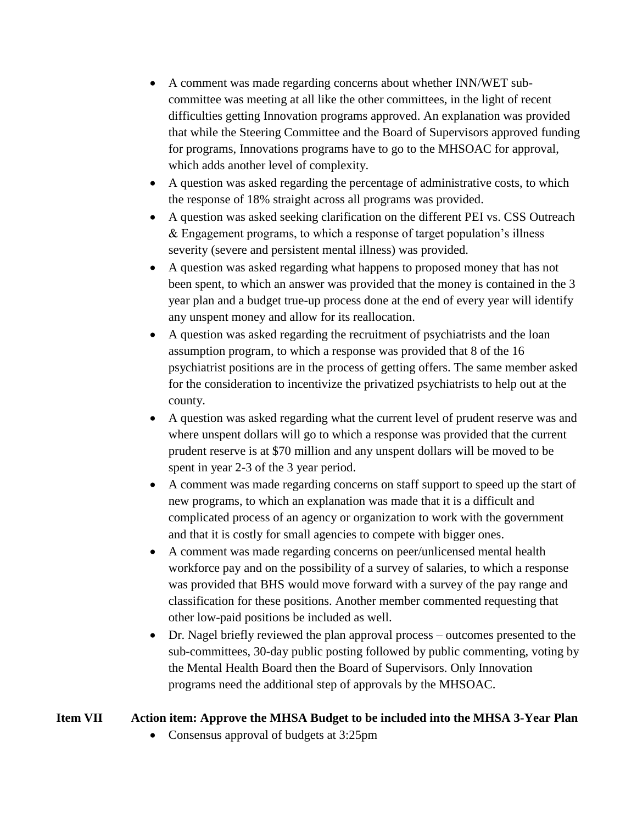- A comment was made regarding concerns about whether INN/WET subcommittee was meeting at all like the other committees, in the light of recent difficulties getting Innovation programs approved. An explanation was provided that while the Steering Committee and the Board of Supervisors approved funding for programs, Innovations programs have to go to the MHSOAC for approval, which adds another level of complexity.
- A question was asked regarding the percentage of administrative costs, to which the response of 18% straight across all programs was provided.
- A question was asked seeking clarification on the different PEI vs. CSS Outreach & Engagement programs, to which a response of target population's illness severity (severe and persistent mental illness) was provided.
- A question was asked regarding what happens to proposed money that has not been spent, to which an answer was provided that the money is contained in the 3 year plan and a budget true-up process done at the end of every year will identify any unspent money and allow for its reallocation.
- A question was asked regarding the recruitment of psychiatrists and the loan assumption program, to which a response was provided that 8 of the 16 psychiatrist positions are in the process of getting offers. The same member asked for the consideration to incentivize the privatized psychiatrists to help out at the county.
- A question was asked regarding what the current level of prudent reserve was and where unspent dollars will go to which a response was provided that the current prudent reserve is at \$70 million and any unspent dollars will be moved to be spent in year 2-3 of the 3 year period.
- A comment was made regarding concerns on staff support to speed up the start of new programs, to which an explanation was made that it is a difficult and complicated process of an agency or organization to work with the government and that it is costly for small agencies to compete with bigger ones.
- A comment was made regarding concerns on peer/unlicensed mental health workforce pay and on the possibility of a survey of salaries, to which a response was provided that BHS would move forward with a survey of the pay range and classification for these positions. Another member commented requesting that other low-paid positions be included as well.
- Dr. Nagel briefly reviewed the plan approval process outcomes presented to the sub-committees, 30-day public posting followed by public commenting, voting by the Mental Health Board then the Board of Supervisors. Only Innovation programs need the additional step of approvals by the MHSOAC.

## **Item VII Action item: Approve the MHSA Budget to be included into the MHSA 3-Year Plan**

• Consensus approval of budgets at 3:25pm